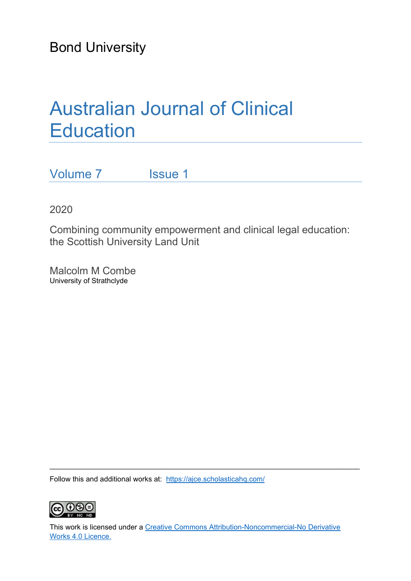Bond University

# Australian Journal of Clinical **Education**

Volume 7 **Issue 1** 

2020

Combining community empowerment and clinical legal education: the Scottish University Land Unit

Malcolm M Combe University of Strathclyde

Follow this and additional works at: https://ajce.scholasticahq.com/



This work is licensed under a Creative Commons Attribution-Noncommercial-No Derivative Works 4.0 Licence.

 $\_$  , and the set of the set of the set of the set of the set of the set of the set of the set of the set of the set of the set of the set of the set of the set of the set of the set of the set of the set of the set of th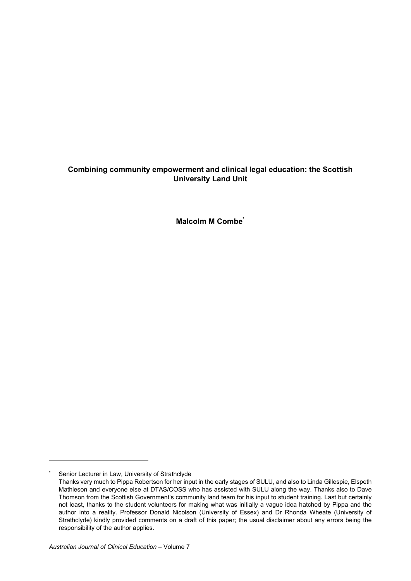# **Combining community empowerment and clinical legal education: the Scottish University Land Unit**

**Malcolm M Combe\***

<sup>\*</sup> Senior Lecturer in Law, University of Strathclyde

Thanks very much to Pippa Robertson for her input in the early stages of SULU, and also to Linda Gillespie, Elspeth Mathieson and everyone else at DTAS/COSS who has assisted with SULU along the way. Thanks also to Dave Thomson from the Scottish Government's community land team for his input to student training. Last but certainly not least, thanks to the student volunteers for making what was initially a vague idea hatched by Pippa and the author into a reality. Professor Donald Nicolson (University of Essex) and Dr Rhonda Wheate (University of Strathclyde) kindly provided comments on a draft of this paper; the usual disclaimer about any errors being the responsibility of the author applies.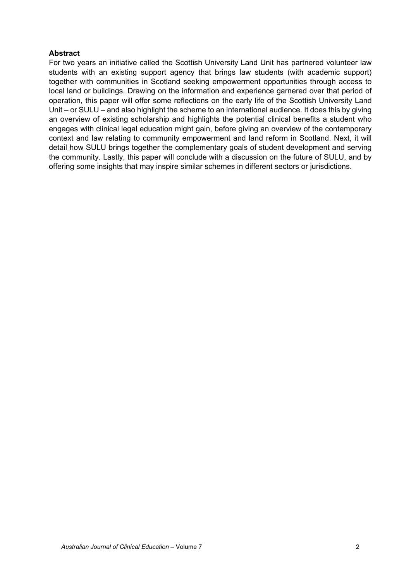## **Abstract**

For two years an initiative called the Scottish University Land Unit has partnered volunteer law students with an existing support agency that brings law students (with academic support) together with communities in Scotland seeking empowerment opportunities through access to local land or buildings. Drawing on the information and experience garnered over that period of operation, this paper will offer some reflections on the early life of the Scottish University Land Unit – or SULU – and also highlight the scheme to an international audience. It does this by giving an overview of existing scholarship and highlights the potential clinical benefits a student who engages with clinical legal education might gain, before giving an overview of the contemporary context and law relating to community empowerment and land reform in Scotland. Next, it will detail how SULU brings together the complementary goals of student development and serving the community. Lastly, this paper will conclude with a discussion on the future of SULU, and by offering some insights that may inspire similar schemes in different sectors or jurisdictions.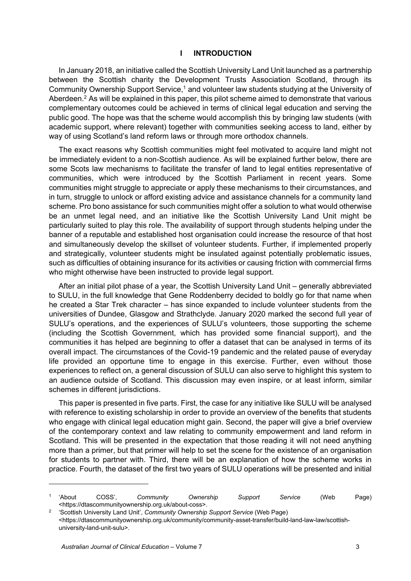#### **I INTRODUCTION**

In January 2018, an initiative called the Scottish University Land Unit launched as a partnership between the Scottish charity the Development Trusts Association Scotland, through its Community Ownership Support Service,<sup>1</sup> and volunteer law students studying at the University of Aberdeen.<sup>2</sup> As will be explained in this paper, this pilot scheme aimed to demonstrate that various complementary outcomes could be achieved in terms of clinical legal education and serving the public good. The hope was that the scheme would accomplish this by bringing law students (with academic support, where relevant) together with communities seeking access to land, either by way of using Scotland's land reform laws or through more orthodox channels.

The exact reasons why Scottish communities might feel motivated to acquire land might not be immediately evident to a non-Scottish audience. As will be explained further below, there are some Scots law mechanisms to facilitate the transfer of land to legal entities representative of communities, which were introduced by the Scottish Parliament in recent years. Some communities might struggle to appreciate or apply these mechanisms to their circumstances, and in turn, struggle to unlock or afford existing advice and assistance channels for a community land scheme. Pro bono assistance for such communities might offer a solution to what would otherwise be an unmet legal need, and an initiative like the Scottish University Land Unit might be particularly suited to play this role. The availability of support through students helping under the banner of a reputable and established host organisation could increase the resource of that host and simultaneously develop the skillset of volunteer students. Further, if implemented properly and strategically, volunteer students might be insulated against potentially problematic issues, such as difficulties of obtaining insurance for its activities or causing friction with commercial firms who might otherwise have been instructed to provide legal support.

After an initial pilot phase of a year, the Scottish University Land Unit – generally abbreviated to SULU, in the full knowledge that Gene Roddenberry decided to boldly go for that name when he created a Star Trek character – has since expanded to include volunteer students from the universities of Dundee, Glasgow and Strathclyde. January 2020 marked the second full year of SULU's operations, and the experiences of SULU's volunteers, those supporting the scheme (including the Scottish Government, which has provided some financial support), and the communities it has helped are beginning to offer a dataset that can be analysed in terms of its overall impact. The circumstances of the Covid-19 pandemic and the related pause of everyday life provided an opportune time to engage in this exercise. Further, even without those experiences to reflect on, a general discussion of SULU can also serve to highlight this system to an audience outside of Scotland. This discussion may even inspire, or at least inform, similar schemes in different jurisdictions.

This paper is presented in five parts. First, the case for any initiative like SULU will be analysed with reference to existing scholarship in order to provide an overview of the benefits that students who engage with clinical legal education might gain. Second, the paper will give a brief overview of the contemporary context and law relating to community empowerment and land reform in Scotland. This will be presented in the expectation that those reading it will not need anything more than a primer, but that primer will help to set the scene for the existence of an organisation for students to partner with. Third, there will be an explanation of how the scheme works in practice. Fourth, the dataset of the first two years of SULU operations will be presented and initial

<sup>1 &#</sup>x27;About COSS', *Community Ownership Support Service* (Web Page) <https://dtascommunityownership.org.uk/about-coss>. 2 'Scottish University Land Unit', *Community Ownership Support Service* (Web Page)

<sup>&</sup>lt;https://dtascommunityownership.org.uk/community/community-asset-transfer/build-land-law-law/scottishuniversity-land-unit-sulu>.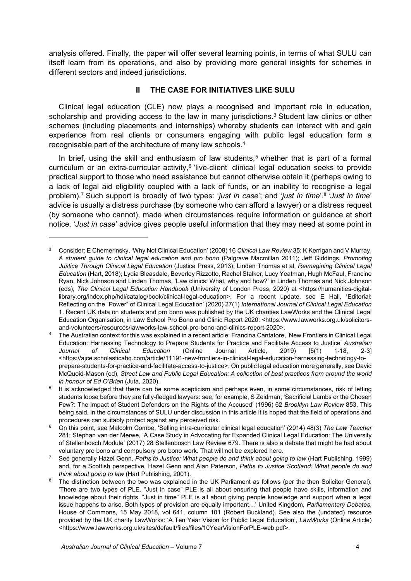analysis offered. Finally, the paper will offer several learning points, in terms of what SULU can itself learn from its operations, and also by providing more general insights for schemes in different sectors and indeed jurisdictions.

## **II THE CASE FOR INITIATIVES LIKE SULU**

Clinical legal education (CLE) now plays a recognised and important role in education, scholarship and providing access to the law in many jurisdictions.<sup>3</sup> Student law clinics or other schemes (including placements and internships) whereby students can interact with and gain experience from real clients or consumers engaging with public legal education form a recognisable part of the architecture of many law schools.4

In brief, using the skill and enthusiasm of law students,<sup>5</sup> whether that is part of a formal curriculum or an extra-curricular activity,<sup>6</sup> 'live-client' clinical legal education seeks to provide practical support to those who need assistance but cannot otherwise obtain it (perhaps owing to a lack of legal aid eligibility coupled with a lack of funds, or an inability to recognise a legal problem).7 Such support is broadly of two types: '*just in case*'; and '*just in time*'.8 '*Just in time*' advice is usually a distress purchase (by someone who can afford a lawyer) or a distress request (by someone who cannot), made when circumstances require information or guidance at short notice. '*Just in case*' advice gives people useful information that they may need at some point in

<sup>3</sup> Consider: E Chemerinsky, 'Why Not Clinical Education' (2009) 16 *Clinical Law Review* 35; K Kerrigan and V Murray, *A student guide to clinical legal education and pro bono* (Palgrave Macmillan 2011); Jeff Giddings, *Promoting Justice Through Clinical Legal Education* (Justice Press, 2013); Linden Thomas et al, *Reimagining Clinical Legal Education* (Hart, 2018); Lydia Bleasdale, Beverley Rizzotto, Rachel Stalker, Lucy Yeatman, Hugh McFaul, Francine Ryan, Nick Johnson and Linden Thomas, 'Law clinics: What, why and how?' in Linden Thomas and Nick Johnson (eds), *The Clinical Legal Education Handbook* (University of London Press, 2020) at <https://humanities-digitallibrary.org/index.php/hdl/catalog/book/clinical-legal-education>. For a recent update, see E Hall, 'Editorial: Reflecting on the "Power" of Clinical Legal Education' (2020) 27(1) *International Journal of Clinical Legal Education* 1. Recent UK data on students and pro bono was published by the UK charities LawWorks and the Clinical Legal Education Organisation, in Law School Pro Bono and Clinic Report 2020: <https://www.lawworks.org.uk/solicitorsand-volunteers/resources/lawworks-law-school-pro-bono-and-clinics-report-2020>. 4 The Australian context for this was explained in a recent article: Francina Cantatore, 'New Frontiers in Clinical Legal

Education: Harnessing Technology to Prepare Students for Practice and Facilitate Access to Justice' *Australian Journal of Clinical Education* (Online Journal Article, 2019) [5(1) 1-18, 2-3] <https://ajce.scholasticahq.com/article/11191-new-frontiers-in-clinical-legal-education-harnessing-technology-toprepare-students-for-practice-and-facilitate-access-to-justice>. On public legal education more generally, see David McQuoid-Mason (ed), *Street Law and Public Legal Education: A collection of best practices from around the world* 

*in honour of Ed O'Brien* (Juta, 2020). 5 It is acknowledged that there can be some scepticism and perhaps even, in some circumstances, risk of letting students loose before they are fully-fledged lawyers: see, for example, S Zeidman, 'Sacrificial Lambs or the Chosen Few?: The Impact of Student Defenders on the Rights of the Accused' (1996) 62 *Brooklyn Law Review* 853. This being said, in the circumstances of SULU under discussion in this article it is hoped that the field of operations and procedures can suitably protect against any perceived risk. 6 On this point, see Malcolm Combe, 'Selling intra-curricular clinical legal education' (2014) 48(3) *The Law Teacher*

<sup>281;</sup> Stephan van der Merwe, 'A Case Study in Advocating for Expanded Clinical Legal Education: The University of Stellenbosch Module' (2017) 28 Stellenbosch Law Review 679. There is also a debate that might be had about voluntary pro bono and compulsory pro bono work. That will not be explored here.<br>See generally Hazel Genn, *Paths to Justice: What people do and think about going to law* (Hart Publishing, 1999)

and, for a Scottish perspective, Hazel Genn and Alan Paterson, *Paths to Justice Scotland: What people do and think about going to law (Hart Publishing, 2001).*<br>The distinction between the two was explained in the UK Parliament as follows (per the then Solicitor General):

<sup>&#</sup>x27;There are two types of PLE. "Just in case" PLE is all about ensuring that people have skills, information and knowledge about their rights. "Just in time" PLE is all about giving people knowledge and support when a legal issue happens to arise. Both types of provision are equally important…' United Kingdom, *Parliamentary Debates*, House of Commons, 15 May 2018, vol 641, column 101 (Robert Buckland). See also the (undated) resource provided by the UK charity LawWorks: 'A Ten Year Vision for Public Legal Education', *LawWorks* (Online Article) <https://www.lawworks.org.uk/sites/default/files/files/10YearVisionForPLE-web.pdf>.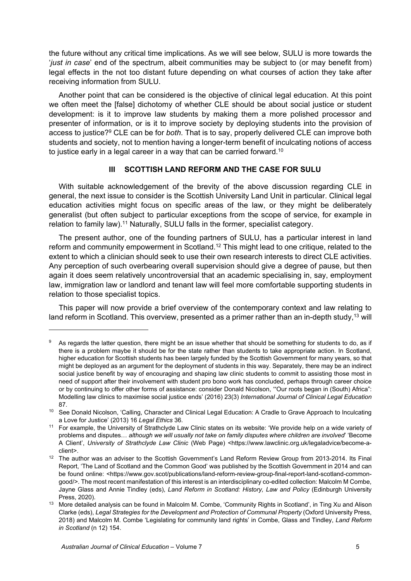the future without any critical time implications. As we will see below, SULU is more towards the '*just in case*' end of the spectrum, albeit communities may be subject to (or may benefit from) legal effects in the not too distant future depending on what courses of action they take after receiving information from SULU.

Another point that can be considered is the objective of clinical legal education. At this point we often meet the [false] dichotomy of whether CLE should be about social justice or student development: is it to improve law students by making them a more polished processor and presenter of information, or is it to improve society by deploying students into the provision of access to justice?9 CLE can be for *both*. That is to say, properly delivered CLE can improve both students and society, not to mention having a longer-term benefit of inculcating notions of access to justice early in a legal career in a way that can be carried forward.<sup>10</sup>

## **III SCOTTISH LAND REFORM AND THE CASE FOR SULU**

With suitable acknowledgement of the brevity of the above discussion regarding CLE in general, the next issue to consider is the Scottish University Land Unit in particular. Clinical legal education activities might focus on specific areas of the law, or they might be deliberately generalist (but often subject to particular exceptions from the scope of service, for example in relation to family law).11 Naturally, SULU falls in the former, specialist category.

The present author, one of the founding partners of SULU, has a particular interest in land reform and community empowerment in Scotland.<sup>12</sup> This might lead to one critique, related to the extent to which a clinician should seek to use their own research interests to direct CLE activities. Any perception of such overbearing overall supervision should give a degree of pause, but then again it does seem relatively uncontroversial that an academic specialising in, say, employment law, immigration law or landlord and tenant law will feel more comfortable supporting students in relation to those specialist topics.

This paper will now provide a brief overview of the contemporary context and law relating to land reform in Scotland. This overview, presented as a primer rather than an in-depth study,<sup>13</sup> will

As regards the latter question, there might be an issue whether that should be something for students to do, as if there is a problem maybe it should be for the state rather than students to take appropriate action. In Scotland, higher education for Scottish students has been largely funded by the Scottish Government for many years, so that might be deployed as an argument for the deployment of students in this way. Separately, there may be an indirect social justice benefit by way of encouraging and shaping law clinic students to commit to assisting those most in need of support after their involvement with student pro bono work has concluded, perhaps through career choice or by continuing to offer other forms of assistance: consider Donald Nicolson, '"Our roots began in (South) Africa": Modelling law clinics to maximise social justice ends' (2016) 23(3) *International Journal of Clinical Legal Education* 

<sup>87.&</sup>lt;br><sup>10</sup> See Donald Nicolson, 'Calling, Character and Clinical Legal Education: A Cradle to Grave Approach to Inculcating

a Love for Justice' (2013) 16 *Legal Ethics* 36. 11 For example, the University of Strathclyde Law Clinic states on its website: 'We provide help on a wide variety of problems and disputes… *although we will usually not take on family disputes where children are involved*' 'Become A Client', *University of Strathclyde Law Clinic* (Web Page) <https://www.lawclinic.org.uk/legaladvice/become-a-

client>. 12 The author was an adviser to the Scottish Government's Land Reform Review Group from 2013-2014. Its Final Report, 'The Land of Scotland and the Common Good' was published by the Scottish Government in 2014 and can be found online: <https://www.gov.scot/publications/land-reform-review-group-final-report-land-scotland-commongood/>. The most recent manifestation of this interest is an interdisciplinary co-edited collection: Malcolm M Combe, Jayne Glass and Annie Tindley (eds), *Land Reform in Scotland: History, Law and Policy* (Edinburgh University Press, 2020).<br><sup>13</sup> More detailed analysis can be found in Malcolm M. Combe, 'Community Rights in Scotland', in Ting Xu and Alison

Clarke (eds), *Legal Strategies for the Development and Protection of Communal Property* (Oxford University Press, 2018) and Malcolm M. Combe 'Legislating for community land rights' in Combe, Glass and Tindley, *Land Reform in Scotland* (n 12) 154.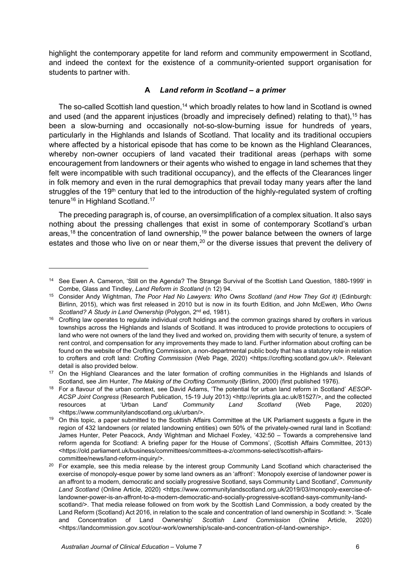highlight the contemporary appetite for land reform and community empowerment in Scotland, and indeed the context for the existence of a community-oriented support organisation for students to partner with.

## **A** *Land reform in Scotland – a primer*

The so-called Scottish land question,<sup>14</sup> which broadly relates to how land in Scotland is owned and used (and the apparent injustices (broadly and imprecisely defined) relating to that), <sup>15</sup> has been a slow-burning and occasionally not-so-slow-burning issue for hundreds of years, particularly in the Highlands and Islands of Scotland. That locality and its traditional occupiers where affected by a historical episode that has come to be known as the Highland Clearances, whereby non-owner occupiers of land vacated their traditional areas (perhaps with some encouragement from landowners or their agents who wished to engage in land schemes that they felt were incompatible with such traditional occupancy), and the effects of the Clearances linger in folk memory and even in the rural demographics that prevail today many years after the land struggles of the 19<sup>th</sup> century that led to the introduction of the highly-regulated system of crofting tenure<sup>16</sup> in Highland Scotland.<sup>17</sup>

The preceding paragraph is, of course, an oversimplification of a complex situation. It also says nothing about the pressing challenges that exist in some of contemporary Scotland's urban areas,<sup>18</sup> the concentration of land ownership,<sup>19</sup> the power balance between the owners of large estates and those who live on or near them,<sup>20</sup> or the diverse issues that prevent the delivery of

<sup>&</sup>lt;sup>14</sup> See Ewen A. Cameron, 'Still on the Agenda? The Strange Survival of the Scottish Land Question, 1880-1999' in

Combe, Glass and Tindley, *Land Reform in Scotland* (n 12) 94. 15 Consider Andy Wightman, *The Poor Had No Lawyers: Who Owns Scotland (and How They Got it)* (Edinburgh: Birlinn, 2015), which was first released in 2010 but is now in its fourth Edition, and John McEwen, *Who Owns Scotland? A Study in Land Ownership* (Polygon, 2<sup>nd</sup> ed, 1981).<br><sup>16</sup> Crofting law operates to regulate individual croft holdings and the common grazings shared by crofters in various

townships across the Highlands and Islands of Scotland. It was introduced to provide protections to occupiers of land who were not owners of the land they lived and worked on, providing them with security of tenure, a system of rent control, and compensation for any improvements they made to land. Further information about crofting can be found on the website of the Crofting Commission, a non-departmental public body that has a statutory role in relation to crofters and croft land: *Crofting Commission* (Web Page, 2020) <https://crofting.scotland.gov.uk/>. Relevant detail is also provided below.<br><sup>17</sup> On the Highland Clearances and the later formation of crofting communities in the Highlands and Islands of

Scotland, see Jim Hunter, The Making of the Crofting Community (Birlinn, 2000) (first published 1976).<br><sup>18</sup> For a flavour of the urban context, see David Adams, 'The potential for urban land reform in Scotland' AESOP-

*ACSP Joint Congress* (Research Publication, 15-19 July 2013) <http://eprints.gla.ac.uk/81527/>, and the collected resources at 'Urban Land' *Community Land Scotland* (Web Page, 2020)

<sup>&</sup>lt;https://www.communitylandscotland.org.uk/urban/>. 19 On this topic, a paper submitted to the Scottish Affairs Committee at the UK Parliament suggests a figure in the region of 432 landowners (or related landowning entities) own 50% of the privately-owned rural land in Scotland: James Hunter, Peter Peacock, Andy Wightman and Michael Foxley, '432:50 – Towards a comprehensive land reform agenda for Scotland: A briefing paper for the House of Commons', (Scottish Affairs Committee, 2013) <https://old.parliament.uk/business/committees/committees-a-z/commons-select/scottish-affairs-

committee/news/land-reform-inquiry/>. 20 For example, see this media release by the interest group Community Land Scotland which characterised the exercise of monopoly-esque power by some land owners as an 'affront': 'Monopoly exercise of landowner power is an affront to a modern, democratic and socially progressive Scotland, says Community Land Scotland', *Community Land Scotland* (Online Article, 2020) <https://www.communitylandscotland.org.uk/2019/03/monopoly-exercise-oflandowner-power-is-an-affront-to-a-modern-democratic-and-socially-progressive-scotland-says-community-landscotland/>. That media release followed on from work by the Scottish Land Commission, a body created by the Land Reform (Scotland) Act 2016, in relation to the scale and concentration of land ownership in Scotland: >. 'Scale and Concentration of Land Ownership' *Scottish Land Commission* (Online Article, 2020) <https://landcommission.gov.scot/our-work/ownership/scale-and-concentration-of-land-ownership>.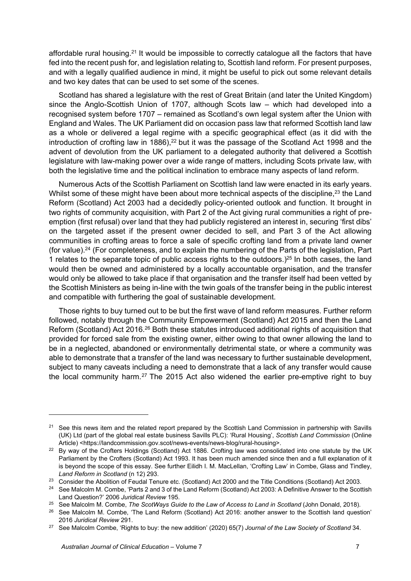affordable rural housing.<sup>21</sup> It would be impossible to correctly catalogue all the factors that have fed into the recent push for, and legislation relating to, Scottish land reform. For present purposes, and with a legally qualified audience in mind, it might be useful to pick out some relevant details and two key dates that can be used to set some of the scenes.

Scotland has shared a legislature with the rest of Great Britain (and later the United Kingdom) since the Anglo-Scottish Union of 1707, although Scots law – which had developed into a recognised system before 1707 – remained as Scotland's own legal system after the Union with England and Wales. The UK Parliament did on occasion pass law that reformed Scottish land law as a whole or delivered a legal regime with a specific geographical effect (as it did with the introduction of crofting law in 1886),<sup>22</sup> but it was the passage of the Scotland Act 1998 and the advent of devolution from the UK parliament to a delegated authority that delivered a Scottish legislature with law-making power over a wide range of matters, including Scots private law, with both the legislative time and the political inclination to embrace many aspects of land reform.

Numerous Acts of the Scottish Parliament on Scottish land law were enacted in its early years. Whilst some of these might have been about more technical aspects of the discipline.<sup>23</sup> the Land Reform (Scotland) Act 2003 had a decidedly policy-oriented outlook and function. It brought in two rights of community acquisition, with Part 2 of the Act giving rural communities a right of preemption (first refusal) over land that they had publicly registered an interest in, securing 'first dibs' on the targeted asset if the present owner decided to sell, and Part 3 of the Act allowing communities in crofting areas to force a sale of specific crofting land from a private land owner (for value).24 (For completeness, and to explain the numbering of the Parts of the legislation, Part 1 relates to the separate topic of public access rights to the outdoors.)<sup>25</sup> In both cases, the land would then be owned and administered by a locally accountable organisation, and the transfer would only be allowed to take place if that organisation and the transfer itself had been vetted by the Scottish Ministers as being in-line with the twin goals of the transfer being in the public interest and compatible with furthering the goal of sustainable development.

Those rights to buy turned out to be but the first wave of land reform measures. Further reform followed, notably through the Community Empowerment (Scotland) Act 2015 and then the Land Reform (Scotland) Act 2016.26 Both these statutes introduced additional rights of acquisition that provided for forced sale from the existing owner, either owing to that owner allowing the land to be in a neglected, abandoned or environmentally detrimental state, or where a community was able to demonstrate that a transfer of the land was necessary to further sustainable development, subject to many caveats including a need to demonstrate that a lack of any transfer would cause the local community harm.<sup>27</sup> The 2015 Act also widened the earlier pre-emptive right to buy

<sup>&</sup>lt;sup>21</sup> See this news item and the related report prepared by the Scottish Land Commission in partnership with Savills (UK) Ltd (part of the global real estate business Savills PLC): 'Rural Housing', *Scottish Land Commission* (Online

Article) <https://landcommission.gov.scot/news-events/news-blog/rural-housing>.<br><sup>22</sup> By way of the Crofters Holdings (Scotland) Act 1886. Crofting law was consolidated into one statute by the UK Parliament by the Crofters (Scotland) Act 1993. It has been much amended since then and a full explanation of it is beyond the scope of this essay. See further Eilidh I. M. MacLellan, 'Crofting Law' in Combe, Glass and Tindley,

Land Reform in Scotland (n 12) 293.<br><sup>23</sup> Consider the Abolition of Feudal Tenure etc. (Scotland) Act 2000 and the Title Conditions (Scotland) Act 2003.<br><sup>24</sup> See Malcolm M. Combe, 'Parts 2 and 3 of the Land Reform (Scotland

Land Question?' 2006 Juridical Review 195.<br><sup>25</sup> See Malcolm M. Combe, *The ScotWays Guide to the Law of Access to Land in Scotland* (John Donald, 2018).<br><sup>26</sup> See Malcolm M. Combe, 'The Land Reform (Scotland) Act 2016: anot

<sup>2016</sup>*Juridical Review* 291. 27 See Malcolm Combe, 'Rights to buy: the new addition' (2020) 65(7) *Journal of the Law Society of Scotland* 34.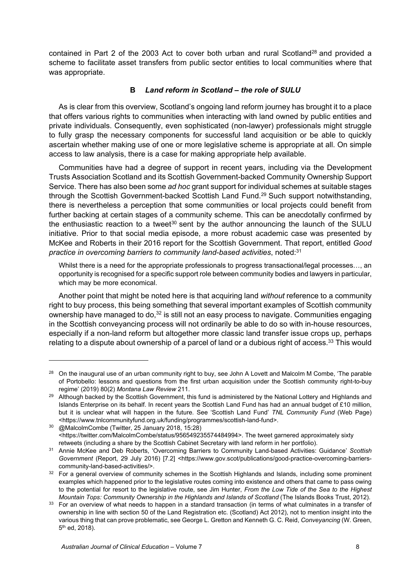contained in Part 2 of the 2003 Act to cover both urban and rural Scotland<sup>28</sup> and provided a scheme to facilitate asset transfers from public sector entities to local communities where that was appropriate.

# **B** *Land reform in Scotland – the role of SULU*

As is clear from this overview, Scotland's ongoing land reform journey has brought it to a place that offers various rights to communities when interacting with land owned by public entities and private individuals. Consequently, even sophisticated (non-lawyer) professionals might struggle to fully grasp the necessary components for successful land acquisition or be able to quickly ascertain whether making use of one or more legislative scheme is appropriate at all. On simple access to law analysis, there is a case for making appropriate help available.

Communities have had a degree of support in recent years, including via the Development Trusts Association Scotland and its Scottish Government-backed Community Ownership Support Service. There has also been some *ad hoc* grant support for individual schemes at suitable stages through the Scottish Government-backed Scottish Land Fund.29 Such support notwithstanding, there is nevertheless a perception that some communities or local projects could benefit from further backing at certain stages of a community scheme. This can be anecdotally confirmed by the enthusiastic reaction to a tweet<sup>30</sup> sent by the author announcing the launch of the SULU initiative. Prior to that social media episode, a more robust academic case was presented by McKee and Roberts in their 2016 report for the Scottish Government. That report, entitled *Good practice in overcoming barriers to community land-based activities*, noted:31

Whilst there is a need for the appropriate professionals to progress transactional/legal processes…, an opportunity is recognised for a specific support role between community bodies and lawyers in particular, which may be more economical.

Another point that might be noted here is that acquiring land *without* reference to a community right to buy process, this being something that several important examples of Scottish community ownership have managed to do, $32$  is still not an easy process to navigate. Communities engaging in the Scottish conveyancing process will not ordinarily be able to do so with in-house resources, especially if a non-land reform but altogether more classic land transfer issue crops up, perhaps relating to a dispute about ownership of a parcel of land or a dubious right of access.<sup>33</sup> This would

<sup>&</sup>lt;sup>28</sup> On the inaugural use of an urban community right to buy, see John A Lovett and Malcolm M Combe, 'The parable of Portobello: lessons and questions from the first urban acquisition under the Scottish community right-to-buy

regime' (2019) 80(2) *Montana Law Review* 211. 29 Although backed by the Scottish Government, this fund is administered by the National Lottery and Highlands and Islands Enterprise on its behalf. In recent years the Scottish Land Fund has had an annual budget of £10 million, but it is unclear what will happen in the future. See 'Scottish Land Fund' *TNL Community Fund* (Web Page)

<sup>&</sup>lt;https://www.tnlcommunityfund.org.uk/funding/programmes/scottish-land-fund>. 30 @MalcolmCombe (Twitter, 25 January 2018, 15:28) <https://twitter.com/MalcolmCombe/status/956549235574484994>. The tweet garnered approximately sixty

retweets (including a share by the Scottish Cabinet Secretary with land reform in her portfolio). 31 Annie McKee and Deb Roberts, 'Overcoming Barriers to Community Land-based Activities: Guidance' *Scottish Government* (Report, 29 July 2016) [7.2] <https://www.gov.scot/publications/good-practice-overcoming-barriers-

community-land-based-activities/>. 32 For a general overview of community schemes in the Scottish Highlands and Islands, including some prominent examples which happened prior to the legislative routes coming into existence and others that came to pass owing to the potential for resort to the legislative route, see Jim Hunter, *From the Low Tide of the Sea to the Highest* 

Mountain Tops: Community Ownership in the Highlands and Islands of Scotland (The Islands Books Trust, 2012).<br><sup>33</sup> For an overview of what needs to happen in a standard transaction (in terms of what culminates in a transfer ownership in line with section 50 of the Land Registration etc. (Scotland) Act 2012), not to mention insight into the various thing that can prove problematic, see George L. Gretton and Kenneth G. C. Reid, *Conveyancing* (W. Green, 5th ed, 2018).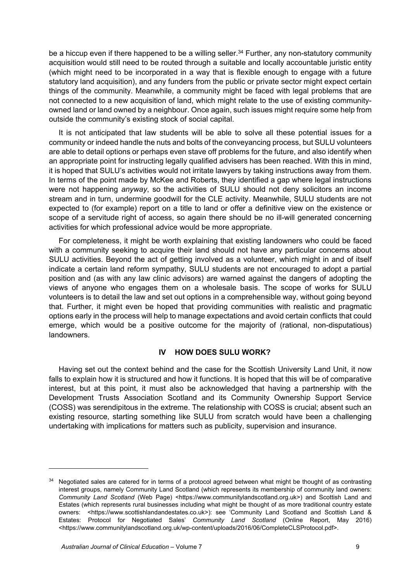be a hiccup even if there happened to be a willing seller.<sup>34</sup> Further, any non-statutory community acquisition would still need to be routed through a suitable and locally accountable juristic entity (which might need to be incorporated in a way that is flexible enough to engage with a future statutory land acquisition), and any funders from the public or private sector might expect certain things of the community. Meanwhile, a community might be faced with legal problems that are not connected to a new acquisition of land, which might relate to the use of existing communityowned land or land owned by a neighbour. Once again, such issues might require some help from outside the community's existing stock of social capital.

It is not anticipated that law students will be able to solve all these potential issues for a community or indeed handle the nuts and bolts of the conveyancing process, but SULU volunteers are able to detail options or perhaps even stave off problems for the future, and also identify when an appropriate point for instructing legally qualified advisers has been reached. With this in mind, it is hoped that SULU's activities would not irritate lawyers by taking instructions away from them. In terms of the point made by McKee and Roberts, they identified a gap where legal instructions were not happening *anyway*, so the activities of SULU should not deny solicitors an income stream and in turn, undermine goodwill for the CLE activity. Meanwhile, SULU students are not expected to (for example) report on a title to land or offer a definitive view on the existence or scope of a servitude right of access, so again there should be no ill-will generated concerning activities for which professional advice would be more appropriate.

For completeness, it might be worth explaining that existing landowners who could be faced with a community seeking to acquire their land should not have any particular concerns about SULU activities. Beyond the act of getting involved as a volunteer, which might in and of itself indicate a certain land reform sympathy, SULU students are not encouraged to adopt a partial position and (as with any law clinic advisors) are warned against the dangers of adopting the views of anyone who engages them on a wholesale basis. The scope of works for SULU volunteers is to detail the law and set out options in a comprehensible way, without going beyond that. Further, it might even be hoped that providing communities with realistic and pragmatic options early in the process will help to manage expectations and avoid certain conflicts that could emerge, which would be a positive outcome for the majority of (rational, non-disputatious) landowners.

#### **IV HOW DOES SULU WORK?**

Having set out the context behind and the case for the Scottish University Land Unit, it now falls to explain how it is structured and how it functions. It is hoped that this will be of comparative interest, but at this point, it must also be acknowledged that having a partnership with the Development Trusts Association Scotland and its Community Ownership Support Service (COSS) was serendipitous in the extreme. The relationship with COSS is crucial; absent such an existing resource, starting something like SULU from scratch would have been a challenging undertaking with implications for matters such as publicity, supervision and insurance.

<sup>&</sup>lt;sup>34</sup> Negotiated sales are catered for in terms of a protocol agreed between what might be thought of as contrasting interest groups, namely Community Land Scotland (which represents its membership of community land owners: *Community Land Scotland* (Web Page) <https://www.communitylandscotland.org.uk>) and Scottish Land and Estates (which represents rural businesses including what might be thought of as more traditional country estate owners: <https://www.scottishlandandestates.co.uk>): see 'Community Land Scotland and Scottish Land & Estates: Protocol for Negotiated Sales' *Community Land Scotland* (Online Report, May 2016) <https://www.communitylandscotland.org.uk/wp-content/uploads/2016/06/CompleteCLSProtocol.pdf>.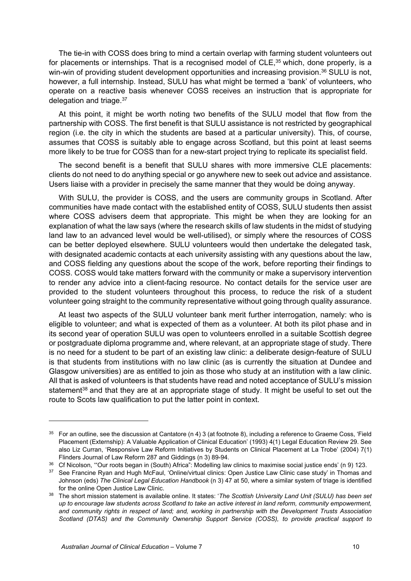The tie-in with COSS does bring to mind a certain overlap with farming student volunteers out for placements or internships. That is a recognised model of  $CLE$ ,  $35$  which, done properly, is a win-win of providing student development opportunities and increasing provision.<sup>36</sup> SULU is not, however, a full internship. Instead, SULU has what might be termed a 'bank' of volunteers, who operate on a reactive basis whenever COSS receives an instruction that is appropriate for delegation and triage.<sup>37</sup>

At this point, it might be worth noting two benefits of the SULU model that flow from the partnership with COSS. The first benefit is that SULU assistance is not restricted by geographical region (i.e. the city in which the students are based at a particular university). This, of course, assumes that COSS is suitably able to engage across Scotland, but this point at least seems more likely to be true for COSS than for a new-start project trying to replicate its specialist field.

The second benefit is a benefit that SULU shares with more immersive CLE placements: clients do not need to do anything special or go anywhere new to seek out advice and assistance. Users liaise with a provider in precisely the same manner that they would be doing anyway.

With SULU, the provider is COSS, and the users are community groups in Scotland. After communities have made contact with the established entity of COSS, SULU students then assist where COSS advisers deem that appropriate. This might be when they are looking for an explanation of what the law says (where the research skills of law students in the midst of studying land law to an advanced level would be well-utilised), or simply where the resources of COSS can be better deployed elsewhere. SULU volunteers would then undertake the delegated task, with designated academic contacts at each university assisting with any questions about the law, and COSS fielding any questions about the scope of the work, before reporting their findings to COSS. COSS would take matters forward with the community or make a supervisory intervention to render any advice into a client-facing resource. No contact details for the service user are provided to the student volunteers throughout this process, to reduce the risk of a student volunteer going straight to the community representative without going through quality assurance.

At least two aspects of the SULU volunteer bank merit further interrogation, namely: who is eligible to volunteer; and what is expected of them as a volunteer. At both its pilot phase and in its second year of operation SULU was open to volunteers enrolled in a suitable Scottish degree or postgraduate diploma programme and, where relevant, at an appropriate stage of study. There is no need for a student to be part of an existing law clinic: a deliberate design-feature of SULU is that students from institutions with no law clinic (as is currently the situation at Dundee and Glasgow universities) are as entitled to join as those who study at an institution with a law clinic. All that is asked of volunteers is that students have read and noted acceptance of SULU's mission statement<sup>38</sup> and that they are at an appropriate stage of study. It might be useful to set out the route to Scots law qualification to put the latter point in context.

<sup>&</sup>lt;sup>35</sup> For an outline, see the discussion at Cantatore (n 4) 3 (at footnote 8), including a reference to Graeme Coss, 'Field Placement (Externship): A Valuable Application of Clinical Education' (1993) 4(1) Legal Education Review 29. See also Liz Curran, 'Responsive Law Reform Initiatives by Students on Clinical Placement at La Trobe' (2004) 7(1) Flinders Journal of Law Reform 287 and Giddings (n 3) 89-94.<br><sup>36</sup> Cf Nicolson, "Our roots began in (South) Africa": Modelling law clinics to maximise social justice ends' (n 9) 123.<br><sup>37</sup> See Francine Ryan and Hugh McFaul,

Johnson (eds) *The Clinical Legal Education Handbook* (n 3) 47 at 50, where a similar system of triage is identified for the online Open Justice Law Clinic. 38 The short mission statement is available online. It states: '*The Scottish University Land Unit (SULU) has been set* 

*up to encourage law students across Scotland to take an active interest in land reform, community empowerment, and community rights in respect of land; and, working in partnership with the Development Trusts Association Scotland (DTAS) and the Community Ownership Support Service (COSS), to provide practical support to*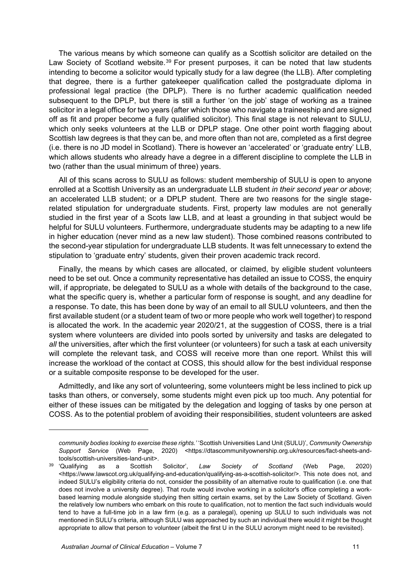The various means by which someone can qualify as a Scottish solicitor are detailed on the Law Society of Scotland website.<sup>39</sup> For present purposes, it can be noted that law students intending to become a solicitor would typically study for a law degree (the LLB). After completing that degree, there is a further gatekeeper qualification called the postgraduate diploma in professional legal practice (the DPLP). There is no further academic qualification needed subsequent to the DPLP, but there is still a further 'on the job' stage of working as a trainee solicitor in a legal office for two years (after which those who navigate a traineeship and are signed off as fit and proper become a fully qualified solicitor). This final stage is not relevant to SULU, which only seeks volunteers at the LLB or DPLP stage. One other point worth flagging about Scottish law degrees is that they can be, and more often than not are, completed as a first degree (i.e. there is no JD model in Scotland). There is however an 'accelerated' or 'graduate entry' LLB, which allows students who already have a degree in a different discipline to complete the LLB in two (rather than the usual minimum of three) years.

All of this scans across to SULU as follows: student membership of SULU is open to anyone enrolled at a Scottish University as an undergraduate LLB student *in their second year or above*; an accelerated LLB student; or a DPLP student. There are two reasons for the single stagerelated stipulation for undergraduate students. First, property law modules are not generally studied in the first year of a Scots law LLB, and at least a grounding in that subject would be helpful for SULU volunteers. Furthermore, undergraduate students may be adapting to a new life in higher education (never mind as a new law student). Those combined reasons contributed to the second-year stipulation for undergraduate LLB students. It was felt unnecessary to extend the stipulation to 'graduate entry' students, given their proven academic track record.

Finally, the means by which cases are allocated, or claimed, by eligible student volunteers need to be set out. Once a community representative has detailed an issue to COSS, the enquiry will, if appropriate, be delegated to SULU as a whole with details of the background to the case, what the specific query is, whether a particular form of response is sought, and any deadline for a response. To date, this has been done by way of an email to all SULU volunteers, and then the first available student (or a student team of two or more people who work well together) to respond is allocated the work. In the academic year 2020/21, at the suggestion of COSS, there is a trial system where volunteers are divided into pools sorted by university and tasks are delegated to all the universities, after which the first volunteer (or volunteers) for such a task at each university will complete the relevant task, and COSS will receive more than one report. Whilst this will increase the workload of the contact at COSS, this should allow for the best individual response or a suitable composite response to be developed for the user.

Admittedly, and like any sort of volunteering, some volunteers might be less inclined to pick up tasks than others, or conversely, some students might even pick up too much. Any potential for either of these issues can be mitigated by the delegation and logging of tasks by one person at COSS. As to the potential problem of avoiding their responsibilities, student volunteers are asked

*community bodies looking to exercise these rights.'* 'Scottish Universities Land Unit (SULU)', *Community Ownership Support Service* (Web Page, 2020) <https://dtascommunityownership.org.uk/resources/fact-sheets-and-

tools/scottish-universities-land-unit>. 39 'Qualifying as a Scottish Solicitor', *Law Society of Scotland* (Web Page, 2020) <https://www.lawscot.org.uk/qualifying-and-education/qualifying-as-a-scottish-solicitor/>. This note does not, and indeed SULU's eligibility criteria do not, consider the possibility of an alternative route to qualification (i.e. one that does not involve a university degree). That route would involve working in a solicitor's office completing a workbased learning module alongside studying then sitting certain exams, set by the Law Society of Scotland. Given the relatively low numbers who embark on this route to qualification, not to mention the fact such individuals would tend to have a full-time job in a law firm (e.g. as a paralegal), opening up SULU to such individuals was not mentioned in SULU's criteria, although SULU was approached by such an individual there would it might be thought appropriate to allow that person to volunteer (albeit the first U in the SULU acronym might need to be revisited).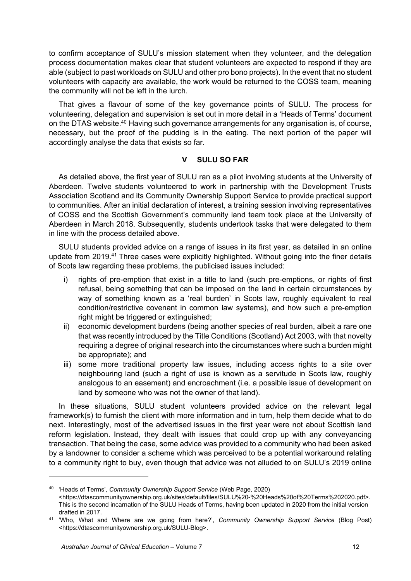to confirm acceptance of SULU's mission statement when they volunteer, and the delegation process documentation makes clear that student volunteers are expected to respond if they are able (subject to past workloads on SULU and other pro bono projects). In the event that no student volunteers with capacity are available, the work would be returned to the COSS team, meaning the community will not be left in the lurch.

That gives a flavour of some of the key governance points of SULU. The process for volunteering, delegation and supervision is set out in more detail in a 'Heads of Terms' document on the DTAS website.<sup>40</sup> Having such governance arrangements for any organisation is, of course, necessary, but the proof of the pudding is in the eating. The next portion of the paper will accordingly analyse the data that exists so far.

## **V SULU SO FAR**

As detailed above, the first year of SULU ran as a pilot involving students at the University of Aberdeen. Twelve students volunteered to work in partnership with the Development Trusts Association Scotland and its Community Ownership Support Service to provide practical support to communities. After an initial declaration of interest, a training session involving representatives of COSS and the Scottish Government's community land team took place at the University of Aberdeen in March 2018. Subsequently, students undertook tasks that were delegated to them in line with the process detailed above.

SULU students provided advice on a range of issues in its first year, as detailed in an online update from 2019.<sup>41</sup> Three cases were explicitly highlighted. Without going into the finer details of Scots law regarding these problems, the publicised issues included:

- i) rights of pre-emption that exist in a title to land (such pre-emptions, or rights of first refusal, being something that can be imposed on the land in certain circumstances by way of something known as a 'real burden' in Scots law, roughly equivalent to real condition/restrictive covenant in common law systems), and how such a pre-emption right might be triggered or extinguished;
- ii) economic development burdens (being another species of real burden, albeit a rare one that was recently introduced by the Title Conditions (Scotland) Act 2003, with that novelty requiring a degree of original research into the circumstances where such a burden might be appropriate); and
- iii) some more traditional property law issues, including access rights to a site over neighbouring land (such a right of use is known as a servitude in Scots law, roughly analogous to an easement) and encroachment (i.e. a possible issue of development on land by someone who was not the owner of that land).

In these situations, SULU student volunteers provided advice on the relevant legal framework(s) to furnish the client with more information and in turn, help them decide what to do next. Interestingly, most of the advertised issues in the first year were not about Scottish land reform legislation. Instead, they dealt with issues that could crop up with any conveyancing transaction. That being the case, some advice was provided to a community who had been asked by a landowner to consider a scheme which was perceived to be a potential workaround relating to a community right to buy, even though that advice was not alluded to on SULU's 2019 online

<sup>40 &#</sup>x27;Heads of Terms', *Community Ownership Support Service* (Web Page, 2020) <https://dtascommunityownership.org.uk/sites/default/files/SULU%20-%20Heads%20of%20Terms%202020.pdf>. This is the second incarnation of the SULU Heads of Terms, having been updated in 2020 from the initial version

drafted in 2017. 41 'Who, What and Where are we going from here?', *Community Ownership Support Service* (Blog Post) <https://dtascommunityownership.org.uk/SULU-Blog>.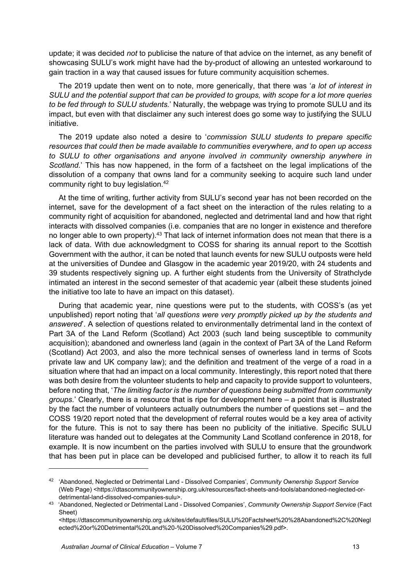update; it was decided *not* to publicise the nature of that advice on the internet, as any benefit of showcasing SULU's work might have had the by-product of allowing an untested workaround to gain traction in a way that caused issues for future community acquisition schemes.

The 2019 update then went on to note, more generically, that there was '*a lot of interest in SULU and the potential support that can be provided to groups, with scope for a lot more queries to be fed through to SULU students.*' Naturally, the webpage was trying to promote SULU and its impact, but even with that disclaimer any such interest does go some way to justifying the SULU initiative.

The 2019 update also noted a desire to '*commission SULU students to prepare specific resources that could then be made available to communities everywhere, and to open up access to SULU to other organisations and anyone involved in community ownership anywhere in Scotland.*' This has now happened, in the form of a factsheet on the legal implications of the dissolution of a company that owns land for a community seeking to acquire such land under community right to buy legislation.42

At the time of writing, further activity from SULU's second year has not been recorded on the internet, save for the development of a fact sheet on the interaction of the rules relating to a community right of acquisition for abandoned, neglected and detrimental land and how that right interacts with dissolved companies (i.e. companies that are no longer in existence and therefore no longer able to own property).<sup>43</sup> That lack of internet information does not mean that there is a lack of data. With due acknowledgment to COSS for sharing its annual report to the Scottish Government with the author, it can be noted that launch events for new SULU outposts were held at the universities of Dundee and Glasgow in the academic year 2019/20, with 24 students and 39 students respectively signing up. A further eight students from the University of Strathclyde intimated an interest in the second semester of that academic year (albeit these students joined the initiative too late to have an impact on this dataset).

During that academic year, nine questions were put to the students, with COSS's (as yet unpublished) report noting that '*all questions were very promptly picked up by the students and answered*'. A selection of questions related to environmentally detrimental land in the context of Part 3A of the Land Reform (Scotland) Act 2003 (such land being susceptible to community acquisition); abandoned and ownerless land (again in the context of Part 3A of the Land Reform (Scotland) Act 2003, and also the more technical senses of ownerless land in terms of Scots private law and UK company law); and the definition and treatment of the verge of a road in a situation where that had an impact on a local community. Interestingly, this report noted that there was both desire from the volunteer students to help and capacity to provide support to volunteers, before noting that, '*The limiting factor is the number of questions being submitted from community groups.*' Clearly, there is a resource that is ripe for development here – a point that is illustrated by the fact the number of volunteers actually outnumbers the number of questions set – and the COSS 19/20 report noted that the development of referral routes would be a key area of activity for the future. This is not to say there has been no publicity of the initiative. Specific SULU literature was handed out to delegates at the Community Land Scotland conference in 2018, for example. It is now incumbent on the parties involved with SULU to ensure that the groundwork that has been put in place can be developed and publicised further, to allow it to reach its full

<sup>42 &#</sup>x27;Abandoned, Neglected or Detrimental Land - Dissolved Companies', *Community Ownership Support Service* (Web Page) <https://dtascommunityownership.org.uk/resources/fact-sheets-and-tools/abandoned-neglected-ordetrimental-land-dissolved-companies-sulu>. 43 'Abandoned, Neglected or Detrimental Land - Dissolved Companies', *Community Ownership Support Service* (Fact

Sheet)

<sup>&</sup>lt;https://dtascommunityownership.org.uk/sites/default/files/SULU%20Factsheet%20%28Abandoned%2C%20Negl ected%20or%20Detrimental%20Land%20-%20Dissolved%20Companies%29.pdf>.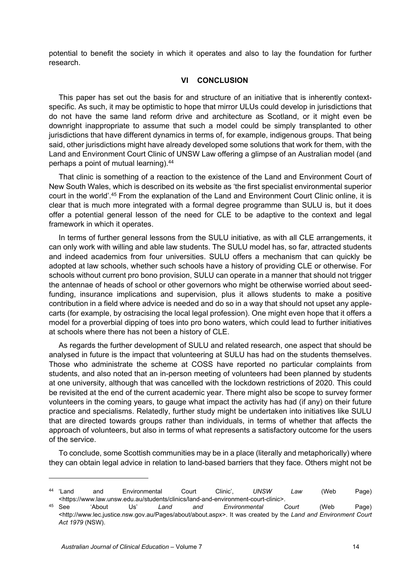potential to benefit the society in which it operates and also to lay the foundation for further research.

#### **VI CONCLUSION**

This paper has set out the basis for and structure of an initiative that is inherently contextspecific. As such, it may be optimistic to hope that mirror ULUs could develop in jurisdictions that do not have the same land reform drive and architecture as Scotland, or it might even be downright inappropriate to assume that such a model could be simply transplanted to other jurisdictions that have different dynamics in terms of, for example, indigenous groups. That being said, other jurisdictions might have already developed some solutions that work for them, with the Land and Environment Court Clinic of UNSW Law offering a glimpse of an Australian model (and perhaps a point of mutual learning).44

That clinic is something of a reaction to the existence of the Land and Environment Court of New South Wales, which is described on its website as 'the first specialist environmental superior court in the world'.45 From the explanation of the Land and Environment Court Clinic online, it is clear that is much more integrated with a formal degree programme than SULU is, but it does offer a potential general lesson of the need for CLE to be adaptive to the context and legal framework in which it operates.

In terms of further general lessons from the SULU initiative, as with all CLE arrangements, it can only work with willing and able law students. The SULU model has, so far, attracted students and indeed academics from four universities. SULU offers a mechanism that can quickly be adopted at law schools, whether such schools have a history of providing CLE or otherwise. For schools without current pro bono provision, SULU can operate in a manner that should not trigger the antennae of heads of school or other governors who might be otherwise worried about seedfunding, insurance implications and supervision, plus it allows students to make a positive contribution in a field where advice is needed and do so in a way that should not upset any applecarts (for example, by ostracising the local legal profession). One might even hope that it offers a model for a proverbial dipping of toes into pro bono waters, which could lead to further initiatives at schools where there has not been a history of CLE.

As regards the further development of SULU and related research, one aspect that should be analysed in future is the impact that volunteering at SULU has had on the students themselves. Those who administrate the scheme at COSS have reported no particular complaints from students, and also noted that an in-person meeting of volunteers had been planned by students at one university, although that was cancelled with the lockdown restrictions of 2020. This could be revisited at the end of the current academic year. There might also be scope to survey former volunteers in the coming years, to gauge what impact the activity has had (if any) on their future practice and specialisms. Relatedly, further study might be undertaken into initiatives like SULU that are directed towards groups rather than individuals, in terms of whether that affects the approach of volunteers, but also in terms of what represents a satisfactory outcome for the users of the service.

To conclude, some Scottish communities may be in a place (literally and metaphorically) where they can obtain legal advice in relation to land-based barriers that they face. Others might not be

<sup>44 &#</sup>x27;Land and Environmental Court Clinic', *UNSW Law* (Web Page) <https://www.law.unsw.edu.au/students/clinics/land-and-environment-court-clinic>. 45 See 'About Us' *Land and Environmental Court* (Web Page)

<sup>&</sup>lt;http://www.lec.justice.nsw.gov.au/Pages/about/about.aspx>. It was created by the *Land and Environment Court Act 1979* (NSW).